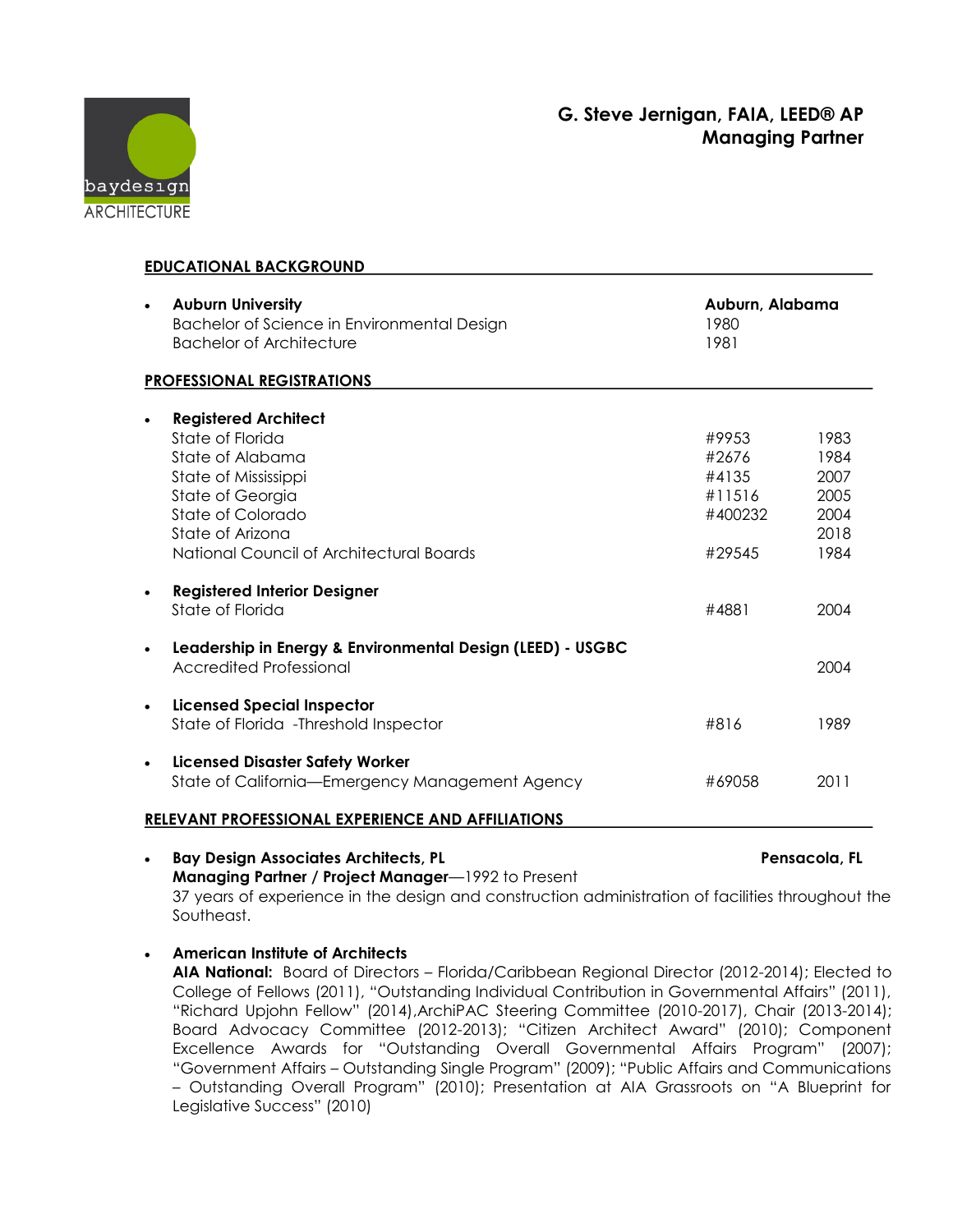## **G. Steve Jernigan, FAIA, LEED® AP Managing Partner**



| <b>EDUCATIONAL BACKGROUND</b>                     |                                                                                                            |                                     |                              |
|---------------------------------------------------|------------------------------------------------------------------------------------------------------------|-------------------------------------|------------------------------|
| $\bullet$                                         | <b>Auburn University</b><br>Bachelor of Science in Environmental Design<br><b>Bachelor of Architecture</b> | Auburn, Alabama<br>1980<br>1981     |                              |
| <b>PROFESSIONAL REGISTRATIONS</b>                 |                                                                                                            |                                     |                              |
|                                                   | <b>Registered Architect</b><br>State of Florida                                                            | #9953                               | 1983                         |
|                                                   | State of Alabama<br>State of Mississippi<br>State of Georgia<br>State of Colorado                          | #2676<br>#4135<br>#11516<br>#400232 | 1984<br>2007<br>2005<br>2004 |
|                                                   | State of Arizona<br>National Council of Architectural Boards                                               | #29545                              | 2018<br>1984                 |
|                                                   | <b>Registered Interior Designer</b><br>State of Florida                                                    | #4881                               | 2004                         |
|                                                   | Leadership in Energy & Environmental Design (LEED) - USGBC<br><b>Accredited Professional</b>               |                                     | 2004                         |
| $\bullet$                                         | <b>Licensed Special Inspector</b><br>State of Florida - Threshold Inspector                                | #816                                | 1989                         |
| $\bullet$                                         | <b>Licensed Disaster Safety Worker</b><br>State of California-Emergency Management Agency                  | #69058                              | 2011                         |
| RELEVANT PROFESSIONAL EXPERIENCE AND AFFILIATIONS |                                                                                                            |                                     |                              |
|                                                   |                                                                                                            |                                     |                              |

- **Bay Design Associates Architects, PL Pensacola, FL Managing Partner / Project Manager**—1992 to Present 37 years of experience in the design and construction administration of facilities throughout the Southeast.
	- **American Institute of Architects AIA National:** Board of Directors – Florida/Caribbean Regional Director (2012-2014); Elected to College of Fellows (2011), "Outstanding Individual Contribution in Governmental Affairs" (2011), "Richard Upjohn Fellow" (2014),ArchiPAC Steering Committee (2010-2017), Chair (2013-2014); Board Advocacy Committee (2012-2013); "Citizen Architect Award" (2010); Component Excellence Awards for "Outstanding Overall Governmental Affairs Program" (2007); "Government Affairs – Outstanding Single Program" (2009); "Public Affairs and Communications – Outstanding Overall Program" (2010); Presentation at AIA Grassroots on "A Blueprint for Legislative Success" (2010)